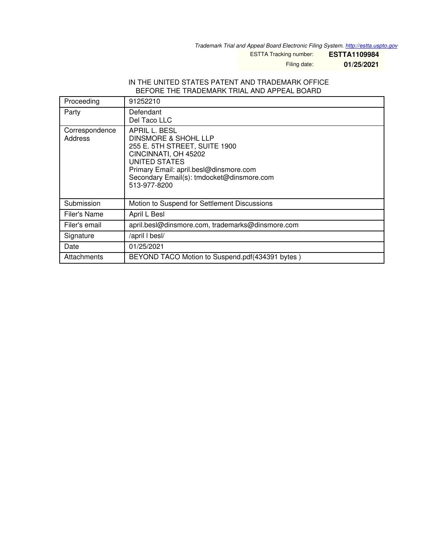*Trademark Trial and Appeal Board Electronic Filing System. <http://estta.uspto.gov>*

ESTTA Tracking number: **ESTTA1109984**

Filing date: **01/25/2021**

## IN THE UNITED STATES PATENT AND TRADEMARK OFFICE BEFORE THE TRADEMARK TRIAL AND APPEAL BOARD

| Proceeding                | 91252210                                                                                                                                                                                                                          |
|---------------------------|-----------------------------------------------------------------------------------------------------------------------------------------------------------------------------------------------------------------------------------|
| Party                     | Defendant<br>Del Taco LLC                                                                                                                                                                                                         |
| Correspondence<br>Address | APRIL L. BESL<br><b>DINSMORE &amp; SHOHL LLP</b><br>255 E. 5TH STREET, SUITE 1900<br>CINCINNATI, OH 45202<br>UNITED STATES<br>Primary Email: april.besl@dinsmore.com<br>Secondary Email(s): tmdocket@dinsmore.com<br>513-977-8200 |
| Submission                | Motion to Suspend for Settlement Discussions                                                                                                                                                                                      |
| Filer's Name              | April L Besl                                                                                                                                                                                                                      |
| Filer's email             | april.besl@dinsmore.com, trademarks@dinsmore.com                                                                                                                                                                                  |
| Signature                 | /april I besl/                                                                                                                                                                                                                    |
| Date                      | 01/25/2021                                                                                                                                                                                                                        |
| Attachments               | BEYOND TACO Motion to Suspend.pdf(434391 bytes)                                                                                                                                                                                   |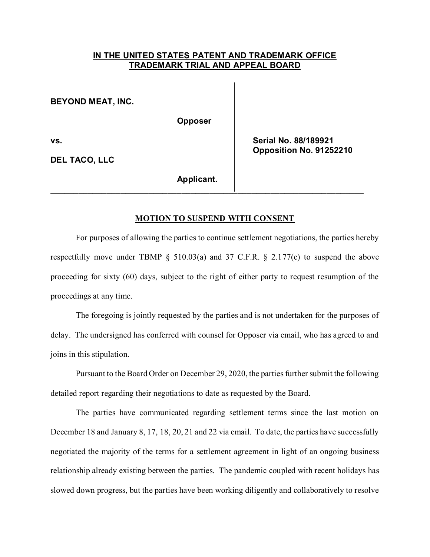## **IN THE UNITED STATES PATENT AND TRADEMARK OFFICE TRADEMARK TRIAL AND APPEAL BOARD**

**BEYOND MEAT, INC.** 

**Opposer** 

**DEL TACO, LLC** 

**vs. Serial No. 88/189921 Opposition No. 91252210** 

**Applicant.** 

## **MOTION TO SUSPEND WITH CONSENT**

**\_\_\_\_\_\_\_\_\_\_\_\_\_\_\_\_\_\_\_\_\_\_\_\_\_\_\_\_\_\_\_\_\_\_\_\_\_\_\_\_\_\_\_\_\_\_\_\_\_\_\_\_\_\_\_\_\_\_\_\_\_\_\_\_\_\_\_** 

 For purposes of allowing the parties to continue settlement negotiations, the parties hereby respectfully move under TBMP § 510.03(a) and 37 C.F.R. § 2.177(c) to suspend the above proceeding for sixty (60) days, subject to the right of either party to request resumption of the proceedings at any time.

 The foregoing is jointly requested by the parties and is not undertaken for the purposes of delay. The undersigned has conferred with counsel for Opposer via email, who has agreed to and joins in this stipulation.

 Pursuant to the Board Order on December 29, 2020, the parties further submit the following detailed report regarding their negotiations to date as requested by the Board.

 The parties have communicated regarding settlement terms since the last motion on December 18 and January 8, 17, 18, 20, 21 and 22 via email. To date, the parties have successfully negotiated the majority of the terms for a settlement agreement in light of an ongoing business relationship already existing between the parties. The pandemic coupled with recent holidays has slowed down progress, but the parties have been working diligently and collaboratively to resolve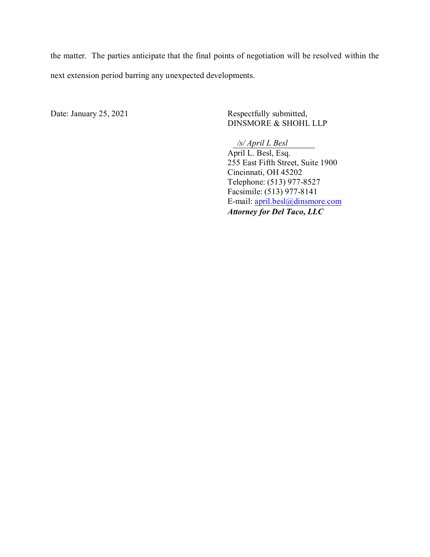the matter. The parties anticipate that the final points of negotiation will be resolved within the next extension period barring any unexpected developments.

Date: January 25, 2021 Respectfully submitted,

DINSMORE & SHOHL LLP

 April L. Besl, Esq. 255 East Fifth Street, Suite 1900 Cincinnati, OH 45202 Telephone: (513) 977-8527 Facsimile: (513) 977-8141 E-mail: [april.besl@dinsmore.com](mailto:april.besl@dinsmore.com) *Attorney for Del Taco, LLC /s/ April L Besl*